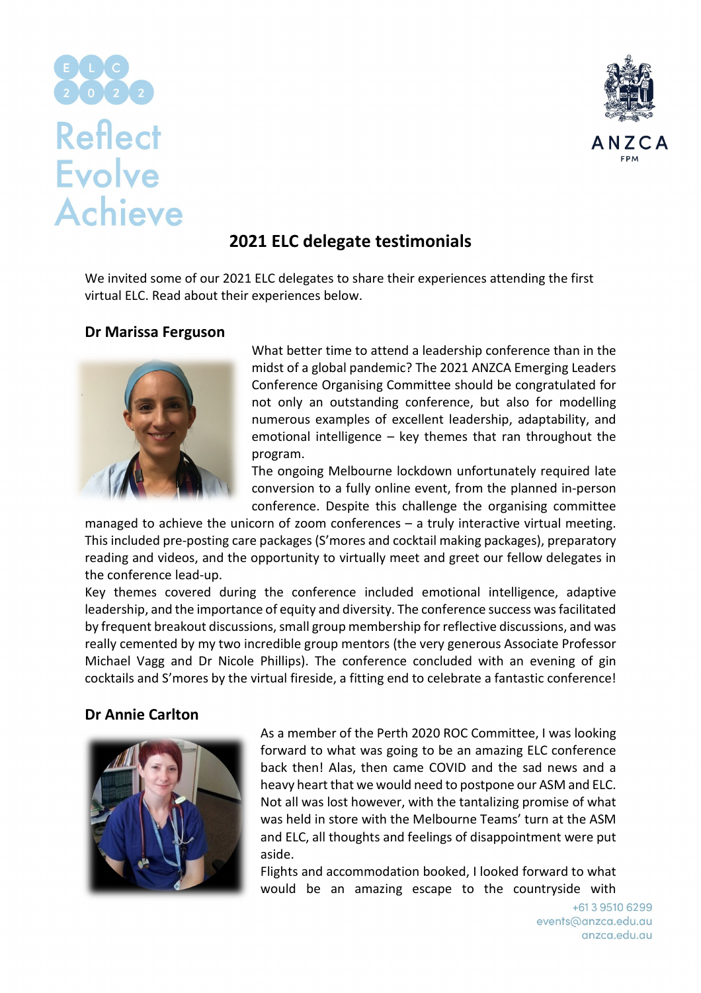# **Reflect Evolve Achieve**



## **2021 ELC delegate testimonials**

We invited some of our 2021 ELC delegates to share their experiences attending the first virtual ELC. Read about their experiences below.

#### **Dr Marissa Ferguson**



What better time to attend a leadership conference than in the midst of a global pandemic? The 2021 ANZCA Emerging Leaders Conference Organising Committee should be congratulated for not only an outstanding conference, but also for modelling numerous examples of excellent leadership, adaptability, and emotional intelligence – key themes that ran throughout the program.

The ongoing Melbourne lockdown unfortunately required late conversion to a fully online event, from the planned in-person conference. Despite this challenge the organising committee

managed to achieve the unicorn of zoom conferences – a truly interactive virtual meeting. This included pre-posting care packages (S'mores and cocktail making packages), preparatory reading and videos, and the opportunity to virtually meet and greet our fellow delegates in the conference lead-up.

Key themes covered during the conference included emotional intelligence, adaptive leadership, and the importance of equity and diversity. The conference success was facilitated by frequent breakout discussions, small group membership for reflective discussions, and was really cemented by my two incredible group mentors (the very generous Associate Professor Michael Vagg and Dr Nicole Phillips). The conference concluded with an evening of gin cocktails and S'mores by the virtual fireside, a fitting end to celebrate a fantastic conference!

### **Dr Annie Carlton**



As a member of the Perth 2020 ROC Committee, I was looking forward to what was going to be an amazing ELC conference back then! Alas, then came COVID and the sad news and a heavy heart that we would need to postpone our ASM and ELC. Not all was lost however, with the tantalizing promise of what was held in store with the Melbourne Teams' turn at the ASM and ELC, all thoughts and feelings of disappointment were put aside.

Flights and accommodation booked, I looked forward to what would be an amazing escape to the countryside with